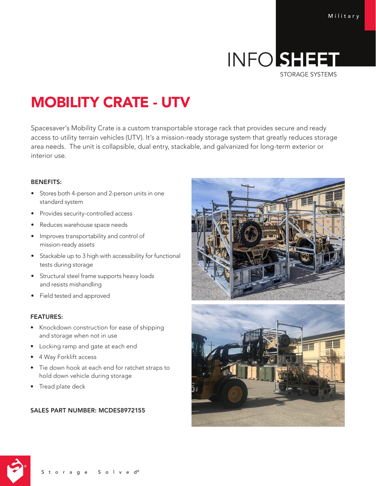# INFO SHEET STORAGE SYSTEMS

# MOBILITY CRATE - UTV

Spacesaver's Mobility Crate is a custom transportable storage rack that provides secure and ready access to utility terrain vehicles (UTV). It's a mission-ready storage system that greatly reduces storage area needs. The unit is collapsible, dual entry, stackable, and galvanized for long-term exterior or interior use.

### BENEFITS:

- Stores both 4-person and 2-person units in one standard system
- Provides security-controlled access
- Reduces warehouse space needs
- Improves transportability and control of mission-ready assets
- Stackable up to 3 high with accessibility for functional tests during storage
- Structural steel frame supports heavy loads and resists mishandling
- Field tested and approved

#### FEATURES:

- Knockdown construction for ease of shipping and storage when not in use
- Locking ramp and gate at each end
- 4 Way Forklift access
- Tie down hook at each end for ratchet straps to hold down vehicle during storage
- Tread plate deck

## SALES PART NUMBER: MCDES8972155







Storage Solved®